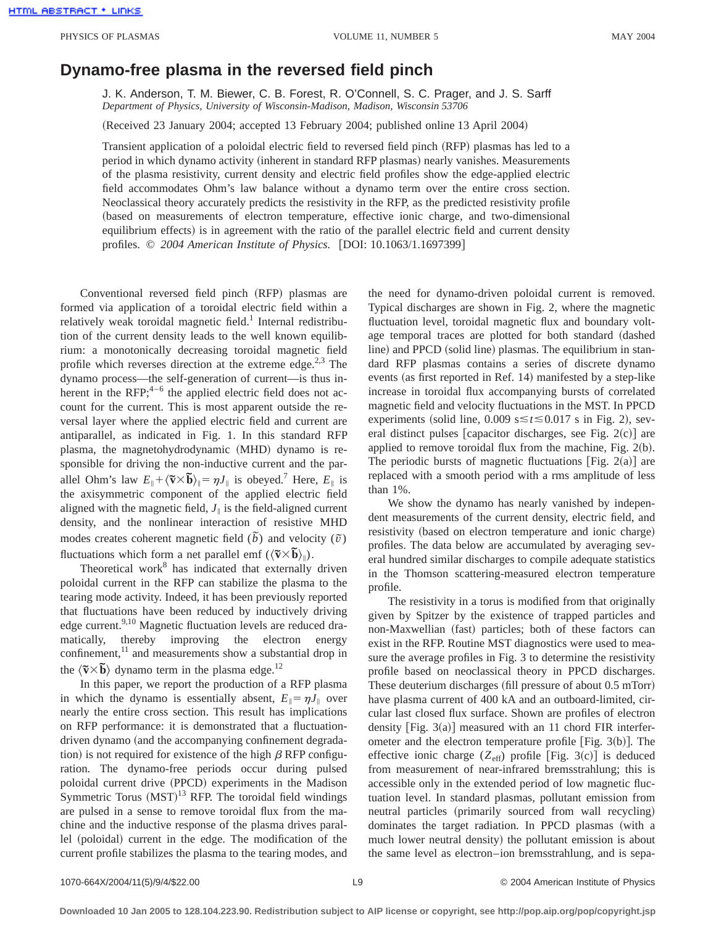## **Dynamo-free plasma in the reversed field pinch**

J. K. Anderson, T. M. Biewer, C. B. Forest, R. O'Connell, S. C. Prager, and J. S. Sarff *Department of Physics, University of Wisconsin-Madison, Madison, Wisconsin 53706*

(Received 23 January 2004; accepted 13 February 2004; published online 13 April 2004)

Transient application of a poloidal electric field to reversed field pinch (RFP) plasmas has led to a period in which dynamo activity (inherent in standard RFP plasmas) nearly vanishes. Measurements of the plasma resistivity, current density and electric field profiles show the edge-applied electric field accommodates Ohm's law balance without a dynamo term over the entire cross section. Neoclassical theory accurately predicts the resistivity in the RFP, as the predicted resistivity profile (based on measurements of electron temperature, effective ionic charge, and two-dimensional equilibrium effects) is in agreement with the ratio of the parallel electric field and current density profiles. © 2004 American Institute of Physics. [DOI: 10.1063/1.1697399]

Conventional reversed field pinch (RFP) plasmas are formed via application of a toroidal electric field within a relatively weak toroidal magnetic field.<sup>1</sup> Internal redistribution of the current density leads to the well known equilibrium: a monotonically decreasing toroidal magnetic field profile which reverses direction at the extreme edge.<sup>2,3</sup> The dynamo process—the self-generation of current—is thus inherent in the RFP; $4-6$  the applied electric field does not account for the current. This is most apparent outside the reversal layer where the applied electric field and current are antiparallel, as indicated in Fig. 1. In this standard RFP plasma, the magnetohydrodynamic (MHD) dynamo is responsible for driving the non-inductive current and the parallel Ohm's law  $E_{\parallel} + \langle \tilde{\mathbf{v}} \times \tilde{\mathbf{b}} \rangle_{\parallel} = \eta J_{\parallel}$  is obeyed.<sup>7</sup> Here,  $E_{\parallel}$  is the axisymmetric component of the applied electric field aligned with the magnetic field,  $J_{\parallel}$  is the field-aligned current density, and the nonlinear interaction of resistive MHD modes creates coherent magnetic field  $(\tilde{b})$  and velocity  $(\tilde{v})$ fluctuations which form a net parallel emf  $(\langle \tilde{\mathbf{v}} \times \tilde{\mathbf{b}} \rangle_{\parallel})$ .

Theoretical work $8$  has indicated that externally driven poloidal current in the RFP can stabilize the plasma to the tearing mode activity. Indeed, it has been previously reported that fluctuations have been reduced by inductively driving edge current.<sup>9,10</sup> Magnetic fluctuation levels are reduced dramatically, thereby improving the electron energy confinement,<sup>11</sup> and measurements show a substantial drop in the  $\langle \tilde{\mathbf{v}} \times \tilde{\mathbf{b}} \rangle$  dynamo term in the plasma edge.<sup>12</sup>

In this paper, we report the production of a RFP plasma in which the dynamo is essentially absent,  $E_{\parallel} = \eta J_{\parallel}$  over nearly the entire cross section. This result has implications on RFP performance: it is demonstrated that a fluctuationdriven dynamo (and the accompanying confinement degradation) is not required for existence of the high  $\beta$  RFP configuration. The dynamo-free periods occur during pulsed poloidal current drive (PPCD) experiments in the Madison Symmetric Torus  $(MST)^{13}$  RFP. The toroidal field windings are pulsed in a sense to remove toroidal flux from the machine and the inductive response of the plasma drives parallel (poloidal) current in the edge. The modification of the current profile stabilizes the plasma to the tearing modes, and the need for dynamo-driven poloidal current is removed. Typical discharges are shown in Fig. 2, where the magnetic fluctuation level, toroidal magnetic flux and boundary voltage temporal traces are plotted for both standard (dashed line) and PPCD (solid line) plasmas. The equilibrium in standard RFP plasmas contains a series of discrete dynamo events (as first reported in Ref. 14) manifested by a step-like increase in toroidal flux accompanying bursts of correlated magnetic field and velocity fluctuations in the MST. In PPCD experiments (solid line, 0.009  $s \le t \le 0.017$  s in Fig. 2), several distinct pulses [capacitor discharges, see Fig.  $2(c)$ ] are applied to remove toroidal flux from the machine, Fig.  $2(b)$ . The periodic bursts of magnetic fluctuations [Fig. 2(a)] are replaced with a smooth period with a rms amplitude of less than 1%.

We show the dynamo has nearly vanished by independent measurements of the current density, electric field, and resistivity (based on electron temperature and ionic charge) profiles. The data below are accumulated by averaging several hundred similar discharges to compile adequate statistics in the Thomson scattering-measured electron temperature profile.

The resistivity in a torus is modified from that originally given by Spitzer by the existence of trapped particles and non-Maxwellian (fast) particles; both of these factors can exist in the RFP. Routine MST diagnostics were used to measure the average profiles in Fig. 3 to determine the resistivity profile based on neoclassical theory in PPCD discharges. These deuterium discharges  $\text{(fill pressure of about 0.5 mTorr)}$ have plasma current of 400 kA and an outboard-limited, circular last closed flux surface. Shown are profiles of electron density [Fig.  $3(a)$ ] measured with an 11 chord FIR interferometer and the electron temperature profile [Fig.  $3(b)$ ]. The effective ionic charge  $(Z_{\text{eff}})$  profile [Fig. 3(c)] is deduced from measurement of near-infrared bremsstrahlung; this is accessible only in the extended period of low magnetic fluctuation level. In standard plasmas, pollutant emission from neutral particles (primarily sourced from wall recycling) dominates the target radiation. In PPCD plasmas (with a much lower neutral density) the pollutant emission is about the same level as electron–ion bremsstrahlung, and is sepa-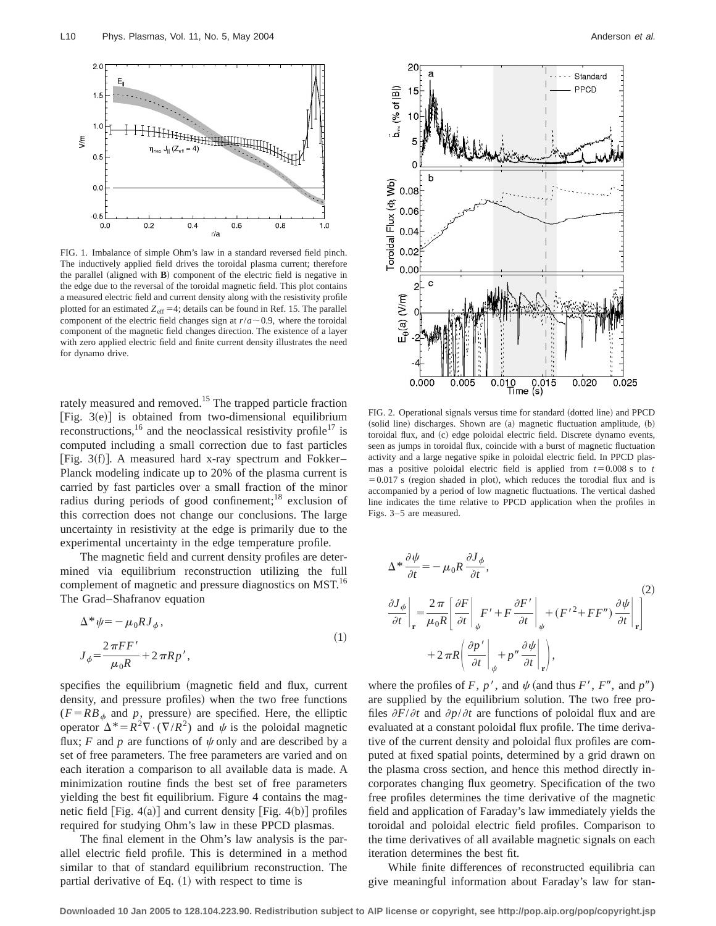

FIG. 1. Imbalance of simple Ohm's law in a standard reversed field pinch. The inductively applied field drives the toroidal plasma current; therefore the parallel (aligned with  $\bf{B}$ ) component of the electric field is negative in the edge due to the reversal of the toroidal magnetic field. This plot contains a measured electric field and current density along with the resistivity profile plotted for an estimated  $Z_{\text{eff}} = 4$ ; details can be found in Ref. 15. The parallel component of the electric field changes sign at  $r/a \sim 0.9$ , where the toroidal component of the magnetic field changes direction. The existence of a layer with zero applied electric field and finite current density illustrates the need for dynamo drive.

rately measured and removed.<sup>15</sup> The trapped particle fraction [Fig.  $3(e)$ ] is obtained from two-dimensional equilibrium reconstructions,<sup>16</sup> and the neoclassical resistivity profile<sup>17</sup> is computed including a small correction due to fast particles [Fig. 3(f)]. A measured hard x-ray spectrum and Fokker– Planck modeling indicate up to 20% of the plasma current is carried by fast particles over a small fraction of the minor radius during periods of good confinement;<sup>18</sup> exclusion of this correction does not change our conclusions. The large uncertainty in resistivity at the edge is primarily due to the experimental uncertainty in the edge temperature profile.

The magnetic field and current density profiles are determined via equilibrium reconstruction utilizing the full complement of magnetic and pressure diagnostics on MST.<sup>16</sup> The Grad–Shafranov equation

$$
\Delta^* \psi = -\mu_0 R J_\phi,
$$
  
\n
$$
J_\phi = \frac{2\pi FF'}{\mu_0 R} + 2\pi R p',
$$
\n(1)

specifies the equilibrium (magnetic field and flux, current density, and pressure profiles) when the two free functions  $(F = RB<sub>\phi</sub>$  and *p*, pressure) are specified. Here, the elliptic operator  $\Delta^* = R^2 \nabla \cdot (\nabla / R^2)$  and  $\psi$  is the poloidal magnetic flux; *F* and *p* are functions of  $\psi$  only and are described by a set of free parameters. The free parameters are varied and on each iteration a comparison to all available data is made. A minimization routine finds the best set of free parameters yielding the best fit equilibrium. Figure 4 contains the magnetic field  $[Fig. 4(a)]$  and current density  $[Fig. 4(b)]$  profiles required for studying Ohm's law in these PPCD plasmas.

The final element in the Ohm's law analysis is the parallel electric field profile. This is determined in a method similar to that of standard equilibrium reconstruction. The partial derivative of Eq.  $(1)$  with respect to time is



FIG. 2. Operational signals versus time for standard (dotted line) and PPCD  $s$ olid line) discharges. Shown are  $(a)$  magnetic fluctuation amplitude,  $(b)$ toroidal flux, and (c) edge poloidal electric field. Discrete dynamo events, seen as jumps in toroidal flux, coincide with a burst of magnetic fluctuation activity and a large negative spike in poloidal electric field. In PPCD plasmas a positive poloidal electric field is applied from  $t=0.008$  s to  $t$  $=0.017$  s (region shaded in plot), which reduces the torodial flux and is accompanied by a period of low magnetic fluctuations. The vertical dashed line indicates the time relative to PPCD application when the profiles in Figs. 3–5 are measured.

$$
\Delta^* \frac{\partial \psi}{\partial t} = -\mu_0 R \frac{\partial J_{\phi}}{\partial t},
$$
\n
$$
\frac{\partial J_{\phi}}{\partial t} \bigg|_{\mathbf{r}} = \frac{2\pi}{\mu_0 R} \bigg[ \frac{\partial F}{\partial t} \bigg|_{\psi} F' + F \frac{\partial F'}{\partial t} \bigg|_{\psi} + (F'^2 + FF'') \frac{\partial \psi}{\partial t} \bigg|_{\mathbf{r}} \bigg]
$$
\n
$$
+ 2\pi R \bigg( \frac{\partial p'}{\partial t} \bigg|_{\psi} + p'' \frac{\partial \psi}{\partial t} \bigg|_{\mathbf{r}} \bigg),
$$
\n(2)

where the profiles of *F*,  $p'$ , and  $\psi$  (and thus *F'*, *F''*, and  $p''$ ) are supplied by the equilibrium solution. The two free profiles  $\partial F/\partial t$  and  $\partial p/\partial t$  are functions of poloidal flux and are evaluated at a constant poloidal flux profile. The time derivative of the current density and poloidal flux profiles are computed at fixed spatial points, determined by a grid drawn on the plasma cross section, and hence this method directly incorporates changing flux geometry. Specification of the two free profiles determines the time derivative of the magnetic field and application of Faraday's law immediately yields the toroidal and poloidal electric field profiles. Comparison to the time derivatives of all available magnetic signals on each iteration determines the best fit.

While finite differences of reconstructed equilibria can give meaningful information about Faraday's law for stan-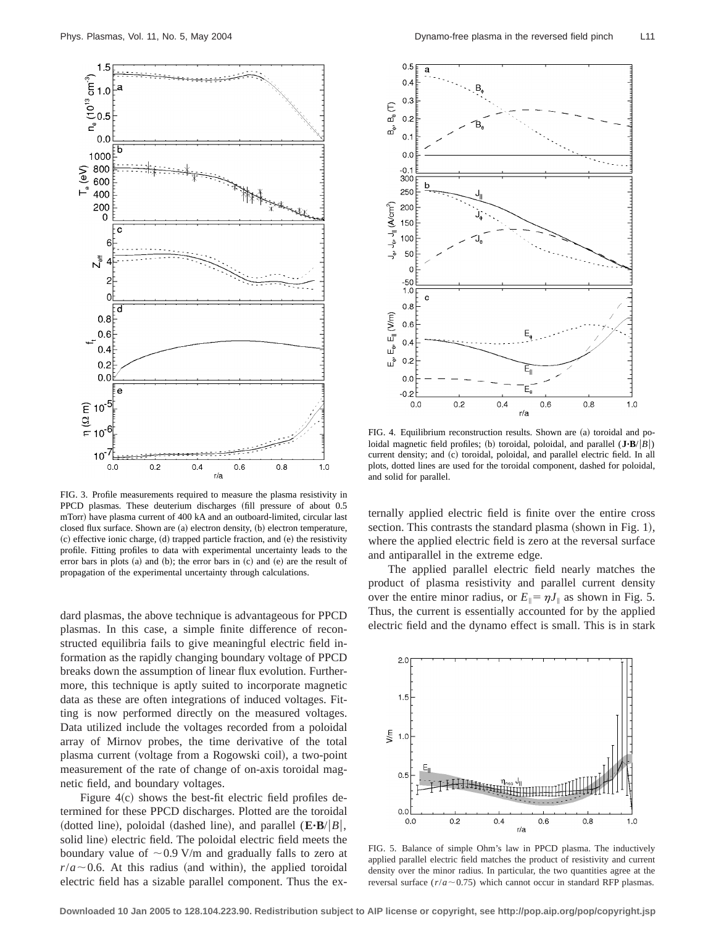

FIG. 3. Profile measurements required to measure the plasma resistivity in PPCD plasmas. These deuterium discharges (fill pressure of about 0.5 mTorr) have plasma current of 400 kA and an outboard-limited, circular last closed flux surface. Shown are (a) electron density, (b) electron temperature, (c) effective ionic charge, (d) trapped particle fraction, and (e) the resistivity profile. Fitting profiles to data with experimental uncertainty leads to the error bars in plots  $(a)$  and  $(b)$ ; the error bars in  $(c)$  and  $(e)$  are the result of propagation of the experimental uncertainty through calculations.

dard plasmas, the above technique is advantageous for PPCD plasmas. In this case, a simple finite difference of reconstructed equilibria fails to give meaningful electric field information as the rapidly changing boundary voltage of PPCD breaks down the assumption of linear flux evolution. Furthermore, this technique is aptly suited to incorporate magnetic data as these are often integrations of induced voltages. Fitting is now performed directly on the measured voltages. Data utilized include the voltages recorded from a poloidal array of Mirnov probes, the time derivative of the total plasma current (voltage from a Rogowski coil), a two-point measurement of the rate of change of on-axis toroidal magnetic field, and boundary voltages.

Figure  $4(c)$  shows the best-fit electric field profiles determined for these PPCD discharges. Plotted are the toroidal (dotted line), poloidal (dashed line), and parallel  $(E \cdot B / |B|)$ , solid line) electric field. The poloidal electric field meets the boundary value of  $\sim$  0.9 V/m and gradually falls to zero at  $r/a \sim 0.6$ . At this radius (and within), the applied toroidal electric field has a sizable parallel component. Thus the ex-



FIG. 4. Equilibrium reconstruction results. Shown are (a) toroidal and poloidal magnetic field profiles; (b) toroidal, poloidal, and parallel  $(\mathbf{J} \cdot \mathbf{B}/|B|)$ current density; and (c) toroidal, poloidal, and parallel electric field. In all plots, dotted lines are used for the toroidal component, dashed for poloidal, and solid for parallel.

ternally applied electric field is finite over the entire cross section. This contrasts the standard plasma (shown in Fig. 1), where the applied electric field is zero at the reversal surface and antiparallel in the extreme edge.

The applied parallel electric field nearly matches the product of plasma resistivity and parallel current density over the entire minor radius, or  $E_{\parallel} = \eta J_{\parallel}$  as shown in Fig. 5. Thus, the current is essentially accounted for by the applied electric field and the dynamo effect is small. This is in stark



FIG. 5. Balance of simple Ohm's law in PPCD plasma. The inductively applied parallel electric field matches the product of resistivity and current density over the minor radius. In particular, the two quantities agree at the reversal surface  $(r/a \sim 0.75)$  which cannot occur in standard RFP plasmas.

**Downloaded 10 Jan 2005 to 128.104.223.90. Redistribution subject to AIP license or copyright, see http://pop.aip.org/pop/copyright.jsp**